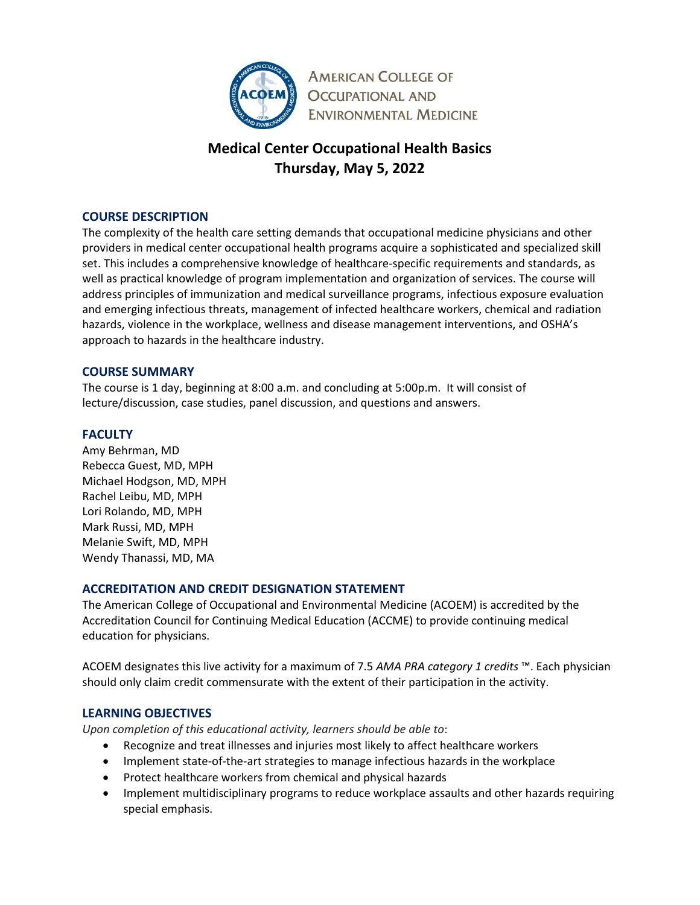

**AMERICAN COLLEGE OF OCCUPATIONAL AND ENVIRONMENTAL MEDICINE** 

# **Medical Center Occupational Health Basics Thursday, May 5, 2022**

## **COURSE DESCRIPTION**

The complexity of the health care setting demands that occupational medicine physicians and other providers in medical center occupational health programs acquire a sophisticated and specialized skill set. This includes a comprehensive knowledge of healthcare-specific requirements and standards, as well as practical knowledge of program implementation and organization of services. The course will address principles of immunization and medical surveillance programs, infectious exposure evaluation and emerging infectious threats, management of infected healthcare workers, chemical and radiation hazards, violence in the workplace, wellness and disease management interventions, and OSHA's approach to hazards in the healthcare industry.

#### **COURSE SUMMARY**

The course is 1 day, beginning at 8:00 a.m. and concluding at 5:00p.m. It will consist of lecture/discussion, case studies, panel discussion, and questions and answers.

## **FACULTY**

Amy Behrman, MD Rebecca Guest, MD, MPH Michael Hodgson, MD, MPH Rachel Leibu, MD, MPH Lori Rolando, MD, MPH Mark Russi, MD, MPH Melanie Swift, MD, MPH Wendy Thanassi, MD, MA

## **ACCREDITATION AND CREDIT DESIGNATION STATEMENT**

The American College of Occupational and Environmental Medicine (ACOEM) is accredited by the Accreditation Council for Continuing Medical Education (ACCME) to provide continuing medical education for physicians.

ACOEM designates this live activity for a maximum of 7.5 *AMA PRA category 1 credits* ™. Each physician should only claim credit commensurate with the extent of their participation in the activity.

## **LEARNING OBJECTIVES**

*Upon completion of this educational activity, learners should be able to*:

- Recognize and treat illnesses and injuries most likely to affect healthcare workers
- Implement state-of-the-art strategies to manage infectious hazards in the workplace
- Protect healthcare workers from chemical and physical hazards
- Implement multidisciplinary programs to reduce workplace assaults and other hazards requiring special emphasis.